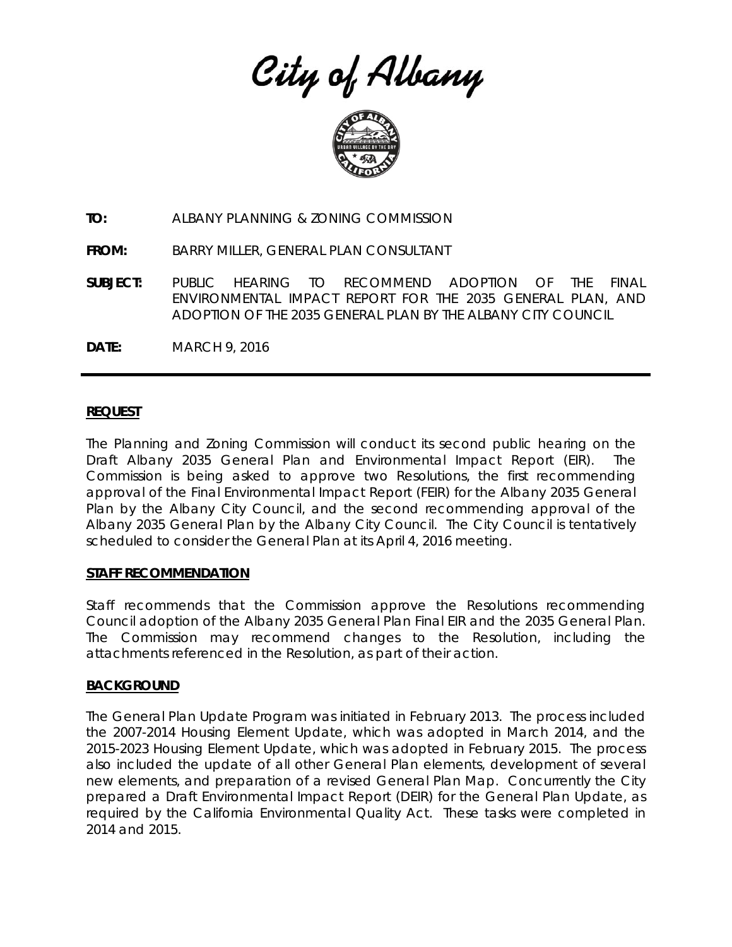City of Albany



**TO:** ALBANY PLANNING & ZONING COMMISSION

**FROM:** BARRY MILLER, GENERAL PLAN CONSULTANT

**SUBJECT:** PUBLIC HEARING TO RECOMMEND ADOPTION OF THE FINAL ENVIRONMENTAL IMPACT REPORT FOR THE 2035 GENERAL PLAN, AND ADOPTION OF THE 2035 GENERAL PLAN BY THE ALBANY CITY COUNCIL

**DATE:** MARCH 9, 2016

### **REQUEST**

The Planning and Zoning Commission will conduct its second public hearing on the Draft Albany 2035 General Plan and Environmental Impact Report (EIR). The Commission is being asked to approve two Resolutions, the first recommending approval of the Final Environmental Impact Report (FEIR) for the Albany 2035 General Plan by the Albany City Council, and the second recommending approval of the Albany 2035 General Plan by the Albany City Council. The City Council is tentatively scheduled to consider the General Plan at its April 4, 2016 meeting.

### **STAFF RECOMMENDATION**

Staff recommends that the Commission approve the Resolutions recommending Council adoption of the Albany 2035 General Plan Final EIR and the 2035 General Plan. The Commission may recommend changes to the Resolution, including the attachments referenced in the Resolution, as part of their action.

### **BACKGROUND**

The General Plan Update Program was initiated in February 2013. The process included the 2007-2014 Housing Element Update, which was adopted in March 2014, and the 2015-2023 Housing Element Update, which was adopted in February 2015. The process also included the update of all other General Plan elements, development of several new elements, and preparation of a revised General Plan Map. Concurrently the City prepared a Draft Environmental Impact Report (DEIR) for the General Plan Update, as required by the California Environmental Quality Act. These tasks were completed in 2014 and 2015.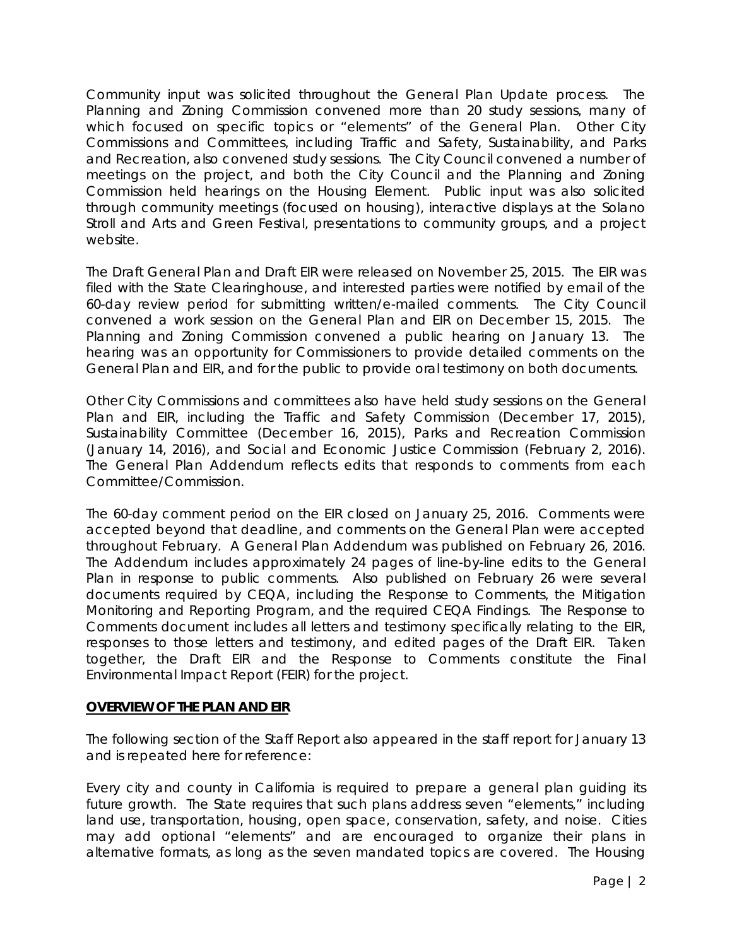Community input was solicited throughout the General Plan Update process. The Planning and Zoning Commission convened more than 20 study sessions, many of which focused on specific topics or "elements" of the General Plan. Other City Commissions and Committees, including Traffic and Safety, Sustainability, and Parks and Recreation, also convened study sessions. The City Council convened a number of meetings on the project, and both the City Council and the Planning and Zoning Commission held hearings on the Housing Element. Public input was also solicited through community meetings (focused on housing), interactive displays at the Solano Stroll and Arts and Green Festival, presentations to community groups, and a project website.

The Draft General Plan and Draft EIR were released on November 25, 2015. The EIR was filed with the State Clearinghouse, and interested parties were notified by email of the 60-day review period for submitting written/e-mailed comments. The City Council convened a work session on the General Plan and EIR on December 15, 2015. The Planning and Zoning Commission convened a public hearing on January 13. The hearing was an opportunity for Commissioners to provide detailed comments on the General Plan and EIR, and for the public to provide oral testimony on both documents.

Other City Commissions and committees also have held study sessions on the General Plan and EIR, including the Traffic and Safety Commission (December 17, 2015), Sustainability Committee (December 16, 2015), Parks and Recreation Commission (January 14, 2016), and Social and Economic Justice Commission (February 2, 2016). The General Plan Addendum reflects edits that responds to comments from each Committee/Commission.

The 60-day comment period on the EIR closed on January 25, 2016. Comments were accepted beyond that deadline, and comments on the General Plan were accepted throughout February. A General Plan Addendum was published on February 26, 2016. The Addendum includes approximately 24 pages of line-by-line edits to the General Plan in response to public comments. Also published on February 26 were several documents required by CEQA, including the Response to Comments, the Mitigation Monitoring and Reporting Program, and the required CEQA Findings. The Response to Comments document includes all letters and testimony specifically relating to the EIR, responses to those letters and testimony, and edited pages of the Draft EIR. Taken together, the Draft EIR and the Response to Comments constitute the Final Environmental Impact Report (FEIR) for the project.

### **OVERVIEW OF THE PLAN AND EIR**

### *The following section of the Staff Report also appeared in the staff report for January 13 and is repeated here for reference:*

Every city and county in California is required to prepare a general plan guiding its future growth. The State requires that such plans address seven "elements," including land use, transportation, housing, open space, conservation, safety, and noise. Cities may add optional "elements" and are encouraged to organize their plans in alternative formats, as long as the seven mandated topics are covered. The Housing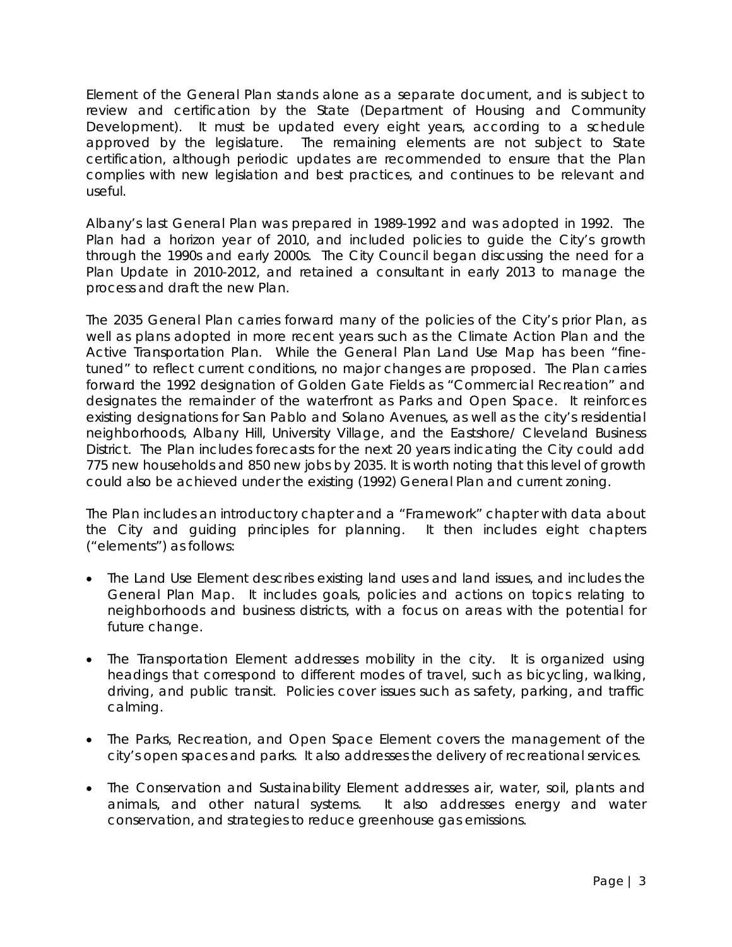Element of the General Plan stands alone as a separate document, and is subject to review and certification by the State (Department of Housing and Community Development). It must be updated every eight years, according to a schedule approved by the legislature. The remaining elements are not subject to State certification, although periodic updates are recommended to ensure that the Plan complies with new legislation and best practices, and continues to be relevant and useful.

Albany's last General Plan was prepared in 1989-1992 and was adopted in 1992. The Plan had a horizon year of 2010, and included policies to guide the City's growth through the 1990s and early 2000s. The City Council began discussing the need for a Plan Update in 2010-2012, and retained a consultant in early 2013 to manage the process and draft the new Plan.

The 2035 General Plan carries forward many of the policies of the City's prior Plan, as well as plans adopted in more recent years such as the Climate Action Plan and the Active Transportation Plan. While the General Plan Land Use Map has been "finetuned" to reflect current conditions, no major changes are proposed. The Plan carries forward the 1992 designation of Golden Gate Fields as "Commercial Recreation" and designates the remainder of the waterfront as Parks and Open Space. It reinforces existing designations for San Pablo and Solano Avenues, as well as the city's residential neighborhoods, Albany Hill, University Village, and the Eastshore/ Cleveland Business District. The Plan includes forecasts for the next 20 years indicating the City could add 775 new households and 850 new jobs by 2035. It is worth noting that this level of growth could also be achieved under the existing (1992) General Plan and current zoning.

The Plan includes an introductory chapter and a "Framework" chapter with data about the City and guiding principles for planning. It then includes eight chapters ("elements") as follows:

- The Land Use Element describes existing land uses and land issues, and includes the General Plan Map. It includes goals, policies and actions on topics relating to neighborhoods and business districts, with a focus on areas with the potential for future change.
- The Transportation Element addresses mobility in the city. It is organized using headings that correspond to different modes of travel, such as bicycling, walking, driving, and public transit. Policies cover issues such as safety, parking, and traffic calming.
- The Parks, Recreation, and Open Space Element covers the management of the city's open spaces and parks. It also addresses the delivery of recreational services.
- The Conservation and Sustainability Element addresses air, water, soil, plants and animals, and other natural systems. It also addresses energy and water conservation, and strategies to reduce greenhouse gas emissions.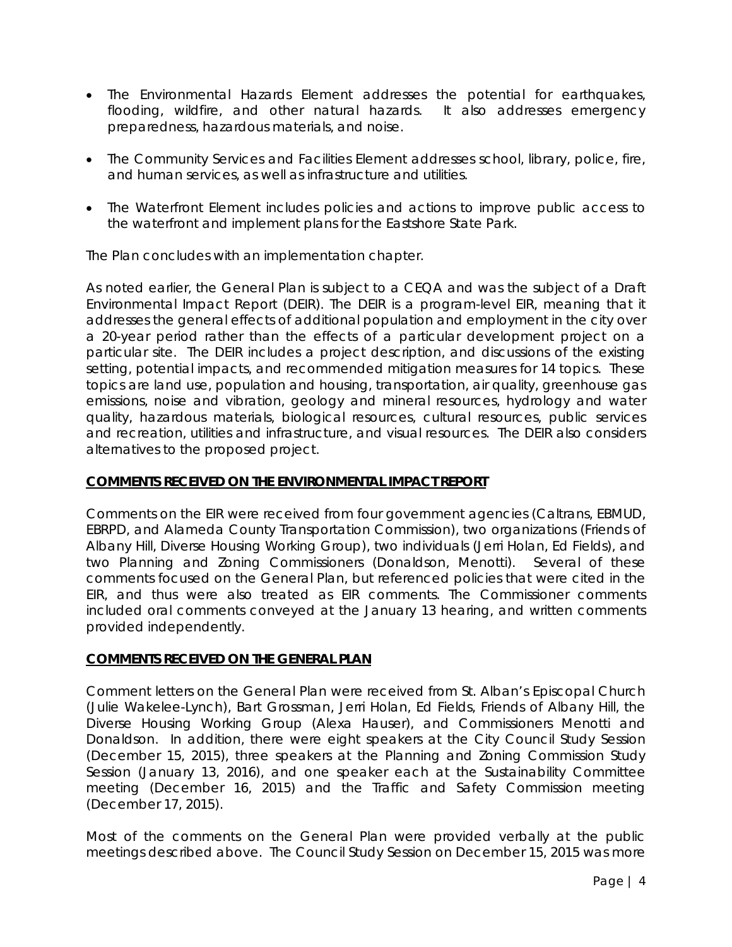- The Environmental Hazards Element addresses the potential for earthquakes, flooding, wildfire, and other natural hazards. It also addresses emergency preparedness, hazardous materials, and noise.
- The Community Services and Facilities Element addresses school, library, police, fire, and human services, as well as infrastructure and utilities.
- The Waterfront Element includes policies and actions to improve public access to the waterfront and implement plans for the Eastshore State Park.

The Plan concludes with an implementation chapter.

As noted earlier, the General Plan is subject to a CEQA and was the subject of a Draft Environmental Impact Report (DEIR). The DEIR is a program-level EIR, meaning that it addresses the general effects of additional population and employment in the city over a 20-year period rather than the effects of a particular development project on a particular site. The DEIR includes a project description, and discussions of the existing setting, potential impacts, and recommended mitigation measures for 14 topics. These topics are land use, population and housing, transportation, air quality, greenhouse gas emissions, noise and vibration, geology and mineral resources, hydrology and water quality, hazardous materials, biological resources, cultural resources, public services and recreation, utilities and infrastructure, and visual resources. The DEIR also considers alternatives to the proposed project.

## **COMMENTS RECEIVED ON THE ENVIRONMENTAL IMPACT REPORT**

Comments on the EIR were received from four government agencies (Caltrans, EBMUD, EBRPD, and Alameda County Transportation Commission), two organizations (Friends of Albany Hill, Diverse Housing Working Group), two individuals (Jerri Holan, Ed Fields), and two Planning and Zoning Commissioners (Donaldson, Menotti). Several of these comments focused on the General Plan, but referenced policies that were cited in the EIR, and thus were also treated as EIR comments. The Commissioner comments included oral comments conveyed at the January 13 hearing, and written comments provided independently.

### **COMMENTS RECEIVED ON THE GENERAL PLAN**

Comment letters on the General Plan were received from St. Alban's Episcopal Church (Julie Wakelee-Lynch), Bart Grossman, Jerri Holan, Ed Fields, Friends of Albany Hill, the Diverse Housing Working Group (Alexa Hauser), and Commissioners Menotti and Donaldson. In addition, there were eight speakers at the City Council Study Session (December 15, 2015), three speakers at the Planning and Zoning Commission Study Session (January 13, 2016), and one speaker each at the Sustainability Committee meeting (December 16, 2015) and the Traffic and Safety Commission meeting (December 17, 2015).

Most of the comments on the General Plan were provided verbally at the public meetings described above. The Council Study Session on December 15, 2015 was more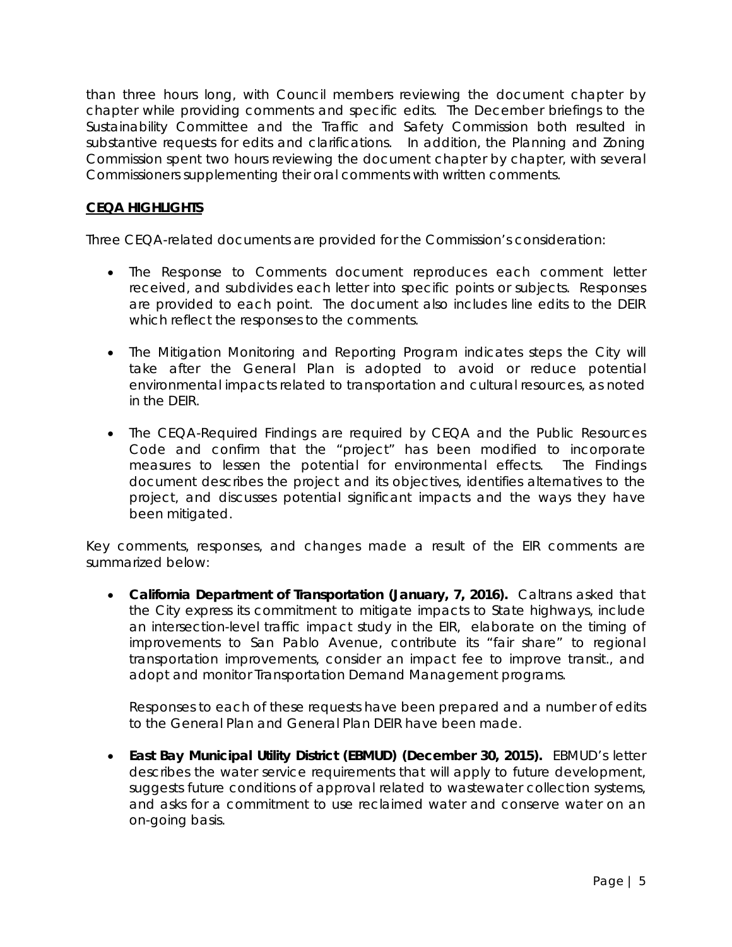than three hours long, with Council members reviewing the document chapter by chapter while providing comments and specific edits. The December briefings to the Sustainability Committee and the Traffic and Safety Commission both resulted in substantive requests for edits and clarifications. In addition, the Planning and Zoning Commission spent two hours reviewing the document chapter by chapter, with several Commissioners supplementing their oral comments with written comments.

# **CEQA HIGHLIGHTS**

Three CEQA-related documents are provided for the Commission's consideration:

- The Response to Comments document reproduces each comment letter received, and subdivides each letter into specific points or subjects. Responses are provided to each point. The document also includes line edits to the DEIR which reflect the responses to the comments.
- The Mitigation Monitoring and Reporting Program indicates steps the City will take after the General Plan is adopted to avoid or reduce potential environmental impacts related to transportation and cultural resources, as noted in the DEIR.
- The CEQA-Required Findings are required by CEQA and the Public Resources Code and confirm that the "project" has been modified to incorporate measures to lessen the potential for environmental effects. The Findings document describes the project and its objectives, identifies alternatives to the project, and discusses potential significant impacts and the ways they have been mitigated.

Key comments, responses, and changes made a result of the EIR comments are summarized below:

 **California Department of Transportation (January, 7, 2016).** Caltrans asked that the City express its commitment to mitigate impacts to State highways, include an intersection-level traffic impact study in the EIR, elaborate on the timing of improvements to San Pablo Avenue, contribute its "fair share" to regional transportation improvements, consider an impact fee to improve transit., and adopt and monitor Transportation Demand Management programs.

*Responses to each of these requests have been prepared and a number of edits to the General Plan and General Plan DEIR have been made.*

 **East Bay Municipal Utility District (EBMUD) (December 30, 2015).** EBMUD's letter describes the water service requirements that will apply to future development, suggests future conditions of approval related to wastewater collection systems, and asks for a commitment to use reclaimed water and conserve water on an on-going basis.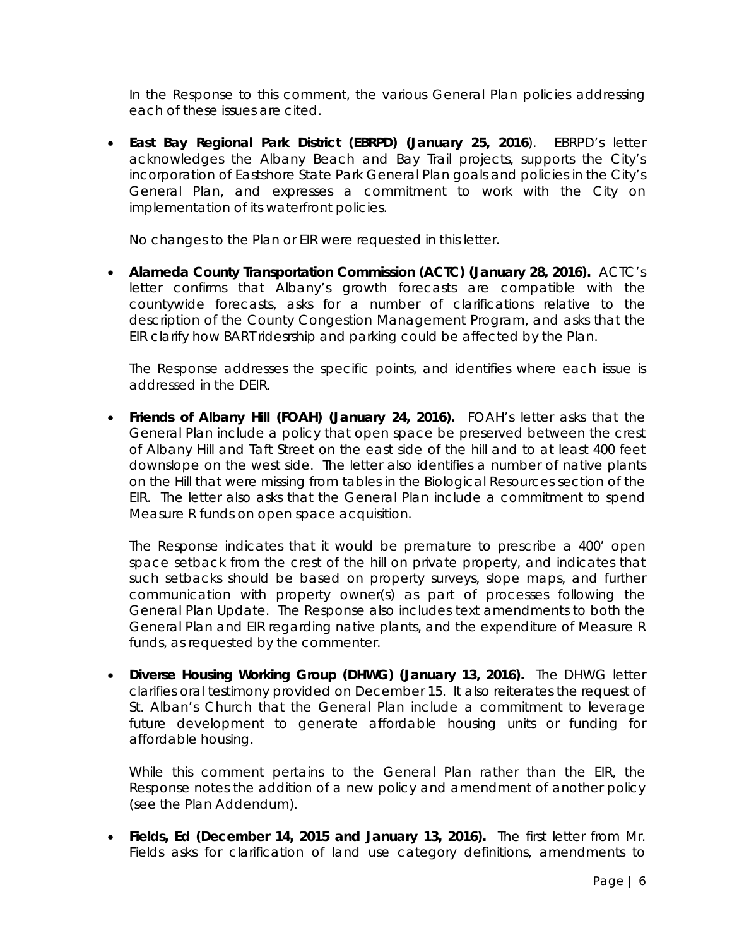In the Response to this comment, the various General Plan policies addressing *each of these issues are cited.*

 **East Bay Regional Park District (EBRPD) (January 25, 2016**). EBRPD's letter acknowledges the Albany Beach and Bay Trail projects, supports the City's incorporation of Eastshore State Park General Plan goals and policies in the City's General Plan, and expresses a commitment to work with the City on implementation of its waterfront policies.

*No changes to the Plan or EIR were requested in this letter.*

 **Alameda County Transportation Commission (ACTC) (January 28, 2016).** ACTC's letter confirms that Albany's growth forecasts are compatible with the countywide forecasts, asks for a number of clarifications relative to the description of the County Congestion Management Program, and asks that the EIR clarify how BART ridesrship and parking could be affected by the Plan.

The Response addresses the specific points, and identifies where each issue is *addressed in the DEIR.* 

 **Friends of Albany Hill (FOAH) (January 24, 2016).** FOAH's letter asks that the General Plan include a policy that open space be preserved between the crest of Albany Hill and Taft Street on the east side of the hill and to at least 400 feet downslope on the west side. The letter also identifies a number of native plants on the Hill that were missing from tables in the Biological Resources section of the EIR. The letter also asks that the General Plan include a commitment to spend Measure R funds on open space acquisition.

*The Response indicates that it would be premature to prescribe a 400' open space setback from the crest of the hill on private property, and indicates that such setbacks should be based on property surveys, slope maps, and further communication with property owner(s) as part of processes following the General Plan Update. The Response also includes text amendments to both the General Plan and EIR regarding native plants, and the expenditure of Measure R funds, as requested by the commenter.* 

 **Diverse Housing Working Group (DHWG) (January 13, 2016).** The DHWG letter clarifies oral testimony provided on December 15. It also reiterates the request of St. Alban's Church that the General Plan include a commitment to leverage future development to generate affordable housing units or funding for affordable housing.

*While this comment pertains to the General Plan rather than the EIR, the Response notes the addition of a new policy and amendment of another policy (see the Plan Addendum).* 

 **Fields, Ed (December 14, 2015 and January 13, 2016).** The first letter from Mr. Fields asks for clarification of land use category definitions, amendments to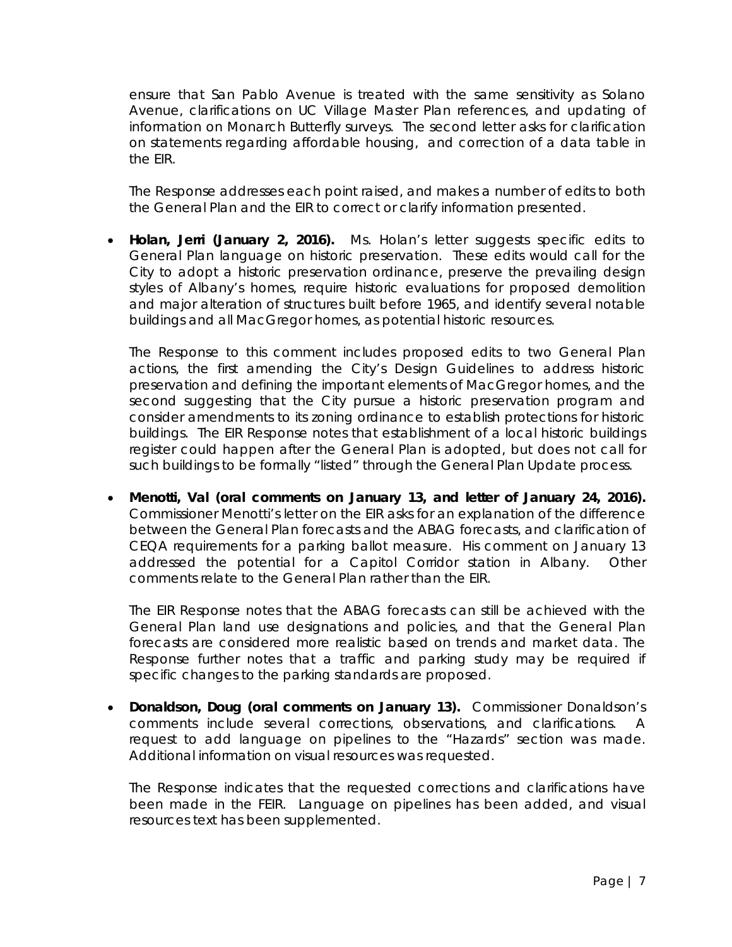ensure that San Pablo Avenue is treated with the same sensitivity as Solano Avenue, clarifications on UC Village Master Plan references, and updating of information on Monarch Butterfly surveys. The second letter asks for clarification on statements regarding affordable housing, and correction of a data table in the EIR.

*The Response addresses each point raised, and makes a number of edits to both the General Plan and the EIR to correct or clarify information presented.*

 **Holan, Jerri (January 2, 2016).** Ms. Holan's letter suggests specific edits to General Plan language on historic preservation. These edits would call for the City to adopt a historic preservation ordinance, preserve the prevailing design styles of Albany's homes, require historic evaluations for proposed demolition and major alteration of structures built before 1965, and identify several notable buildings and all MacGregor homes, as potential historic resources.

*The Response to this comment includes proposed edits to two General Plan actions, the first amending the City's Design Guidelines to address historic preservation and defining the important elements of MacGregor homes, and the second suggesting that the City pursue a historic preservation program and consider amendments to its zoning ordinance to establish protections for historic buildings. The EIR Response notes that establishment of a local historic buildings register could happen after the General Plan is adopted, but does not call for such buildings to be formally "listed" through the General Plan Update process.* 

 **Menotti, Val (oral comments on January 13, and letter of January 24, 2016).** Commissioner Menotti's letter on the EIR asks for an explanation of the difference between the General Plan forecasts and the ABAG forecasts, and clarification of CEQA requirements for a parking ballot measure. His comment on January 13 addressed the potential for a Capitol Corridor station in Albany. Other comments relate to the General Plan rather than the EIR.

*The EIR Response notes that the ABAG forecasts can still be achieved with the General Plan land use designations and policies, and that the General Plan forecasts are considered more realistic based on trends and market data. The Response further notes that a traffic and parking study may be required if specific changes to the parking standards are proposed.*

 **Donaldson, Doug (oral comments on January 13).** Commissioner Donaldson's comments include several corrections, observations, and clarifications. A request to add language on pipelines to the "Hazards" section was made. Additional information on visual resources was requested.

*The Response indicates that the requested corrections and clarifications have been made in the FEIR. Language on pipelines has been added, and visual resources text has been supplemented.*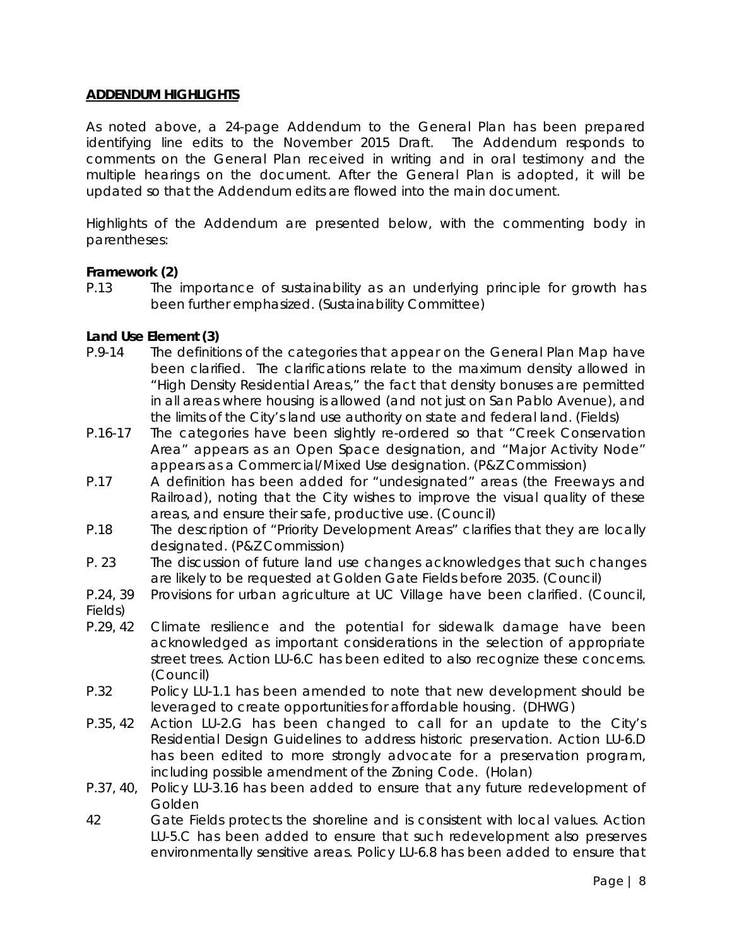# **ADDENDUM HIGHLIGHTS**

As noted above, a 24-page Addendum to the General Plan has been prepared identifying line edits to the November 2015 Draft. The Addendum responds to comments on the General Plan received in writing and in oral testimony and the multiple hearings on the document. After the General Plan is adopted, it will be updated so that the Addendum edits are flowed into the main document.

Highlights of the Addendum are presented below, with the commenting body in parentheses:

### **Framework (2)**

P.13 The importance of sustainability as an underlying principle for growth has been further emphasized. (Sustainability Committee)

### **Land Use Element (3)**

- P.9-14 The definitions of the categories that appear on the General Plan Map have been clarified. The clarifications relate to the maximum density allowed in "High Density Residential Areas," the fact that density bonuses are permitted in all areas where housing is allowed (and not just on San Pablo Avenue), and the limits of the City's land use authority on state and federal land. (Fields)
- P.16-17 The categories have been slightly re-ordered so that "Creek Conservation Area" appears as an Open Space designation, and "Major Activity Node" appears as a Commercial/Mixed Use designation. (P&Z Commission)
- P.17 A definition has been added for "undesignated" areas (the Freeways and Railroad), noting that the City wishes to improve the visual quality of these areas, and ensure their safe, productive use. (Council)
- P.18 The description of "Priority Development Areas" clarifies that they are locally designated. (P&Z Commission)
- P. 23 The discussion of future land use changes acknowledges that such changes are likely to be requested at Golden Gate Fields before 2035. (Council)
- P.24, 39 Provisions for urban agriculture at UC Village have been clarified. (Council, Fields)
- P.29, 42 Climate resilience and the potential for sidewalk damage have been acknowledged as important considerations in the selection of appropriate street trees. Action LU-6.C has been edited to also recognize these concerns. (Council)
- P.32 Policy LU-1.1 has been amended to note that new development should be leveraged to create opportunities for affordable housing. (DHWG)
- P.35, 42 Action LU-2.G has been changed to call for an update to the City's Residential Design Guidelines to address historic preservation. Action LU-6.D has been edited to more strongly advocate for a preservation program, including possible amendment of the Zoning Code. (Holan)
- P.37, 40, Policy LU-3.16 has been added to ensure that any future redevelopment of Golden
- 42 Gate Fields protects the shoreline and is consistent with local values. Action LU-5.C has been added to ensure that such redevelopment also preserves environmentally sensitive areas. Policy LU-6.8 has been added to ensure that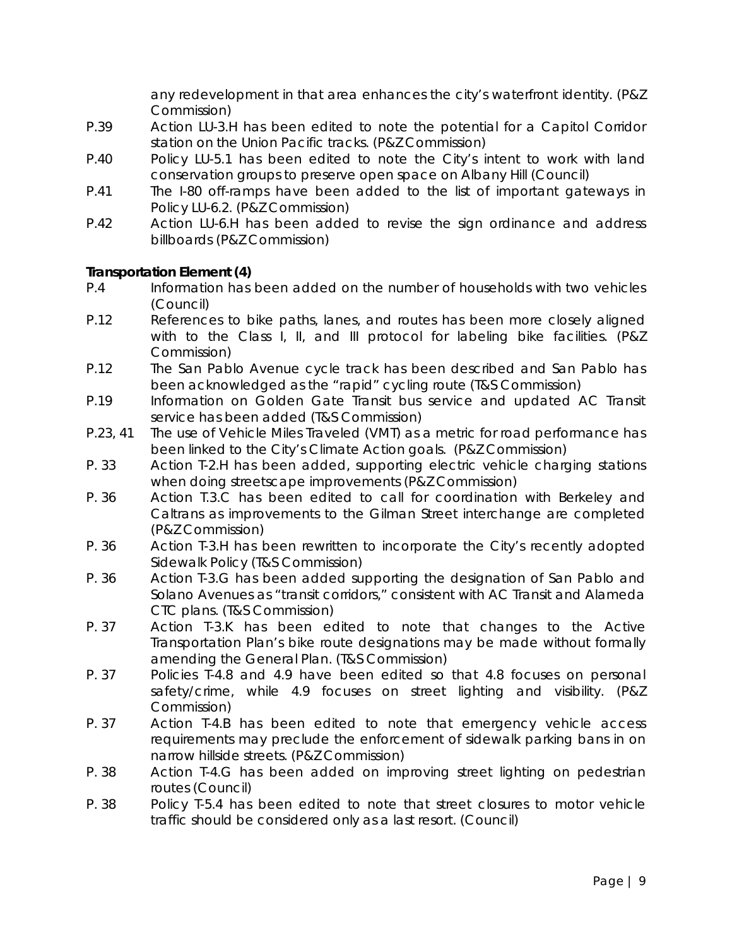any redevelopment in that area enhances the city's waterfront identity. (P&Z Commission)

- P.39 Action LU-3.H has been edited to note the potential for a Capitol Corridor station on the Union Pacific tracks. (P&Z Commission)
- P.40 Policy LU-5.1 has been edited to note the City's intent to work with land conservation groups to preserve open space on Albany Hill (Council)
- P.41 The I-80 off-ramps have been added to the list of important gateways in Policy LU-6.2. (P&Z Commission)
- P.42 Action LU-6.H has been added to revise the sign ordinance and address billboards (P&Z Commission)

# **Transportation Element (4)**

- P.4 Information has been added on the number of households with two vehicles (Council)
- P.12 References to bike paths, lanes, and routes has been more closely aligned with to the Class I, II, and III protocol for labeling bike facilities. (P&Z Commission)
- P.12 The San Pablo Avenue cycle track has been described and San Pablo has been acknowledged as the "rapid" cycling route (T&S Commission)
- P.19 Information on Golden Gate Transit bus service and updated AC Transit service has been added (T&S Commission)
- P.23, 41 The use of Vehicle Miles Traveled (VMT) as a metric for road performance has been linked to the City's Climate Action goals. (P&Z Commission)
- P. 33 Action T-2.H has been added, supporting electric vehicle charging stations when doing streetscape improvements (P&Z Commission)
- P. 36 Action T.3.C has been edited to call for coordination with Berkeley and Caltrans as improvements to the Gilman Street interchange are completed (P&Z Commission)
- P. 36 Action T-3.H has been rewritten to incorporate the City's recently adopted Sidewalk Policy (T&S Commission)
- P. 36 Action T-3.G has been added supporting the designation of San Pablo and Solano Avenues as "transit corridors," consistent with AC Transit and Alameda CTC plans. (T&S Commission)
- P. 37 Action T-3.K has been edited to note that changes to the Active Transportation Plan's bike route designations may be made without formally amending the General Plan. (T&S Commission)
- P. 37 Policies T-4.8 and 4.9 have been edited so that 4.8 focuses on personal safety/crime, while 4.9 focuses on street lighting and visibility. (P&Z Commission)
- P. 37 Action T-4.B has been edited to note that emergency vehicle access requirements may preclude the enforcement of sidewalk parking bans in on narrow hillside streets. (P&Z Commission)
- P. 38 Action T-4.G has been added on improving street lighting on pedestrian routes (Council)
- P. 38 Policy T-5.4 has been edited to note that street closures to motor vehicle traffic should be considered only as a last resort. (Council)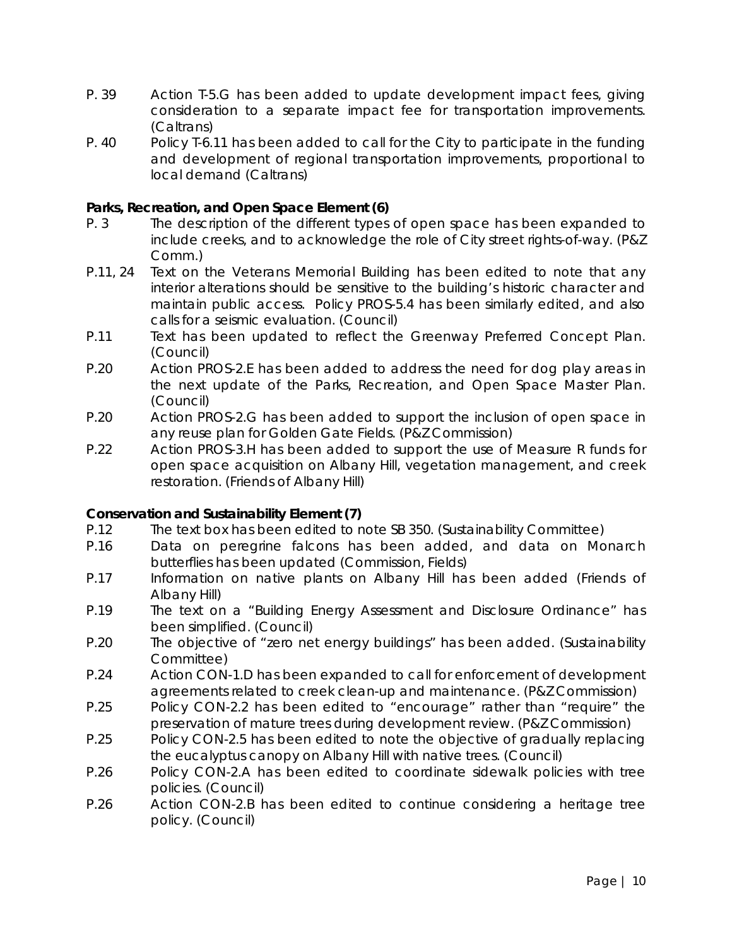- P. 39 Action T-5.G has been added to update development impact fees, giving consideration to a separate impact fee for transportation improvements. (Caltrans)
- P. 40 Policy T-6.11 has been added to call for the City to participate in the funding and development of regional transportation improvements, proportional to local demand (Caltrans)

# **Parks, Recreation, and Open Space Element (6)**

- P. 3 The description of the different types of open space has been expanded to include creeks, and to acknowledge the role of City street rights-of-way. (P&Z Comm.)
- P.11, 24 Text on the Veterans Memorial Building has been edited to note that any interior alterations should be sensitive to the building's historic character and maintain public access. Policy PROS-5.4 has been similarly edited, and also calls for a seismic evaluation. (Council)
- P.11 Text has been updated to reflect the Greenway Preferred Concept Plan. (Council)
- P.20 Action PROS-2.E has been added to address the need for dog play areas in the next update of the Parks, Recreation, and Open Space Master Plan. (Council)
- P.20 Action PROS-2.G has been added to support the inclusion of open space in any reuse plan for Golden Gate Fields. (P&Z Commission)
- P.22 Action PROS-3.H has been added to support the use of Measure R funds for open space acquisition on Albany Hill, vegetation management, and creek restoration. (Friends of Albany Hill)

### **Conservation and Sustainability Element (7)**

- P.12 The text box has been edited to note SB 350. (Sustainability Committee)
- P.16 Data on peregrine falcons has been added, and data on Monarch butterflies has been updated (Commission, Fields)
- P.17 Information on native plants on Albany Hill has been added (Friends of Albany Hill)
- P.19 The text on a "Building Energy Assessment and Disclosure Ordinance" has been simplified. (Council)
- P.20 The objective of "zero net energy buildings" has been added. (Sustainability Committee)
- P.24 Action CON-1.D has been expanded to call for enforcement of development agreements related to creek clean-up and maintenance. (P&Z Commission)
- P.25 Policy CON-2.2 has been edited to "encourage" rather than "require" the preservation of mature trees during development review. (P&Z Commission)
- P.25 Policy CON-2.5 has been edited to note the objective of gradually replacing the eucalyptus canopy on Albany Hill with native trees. (Council)
- P.26 Policy CON-2.A has been edited to coordinate sidewalk policies with tree policies. (Council)
- P.26 Action CON-2.B has been edited to continue considering a heritage tree policy. (Council)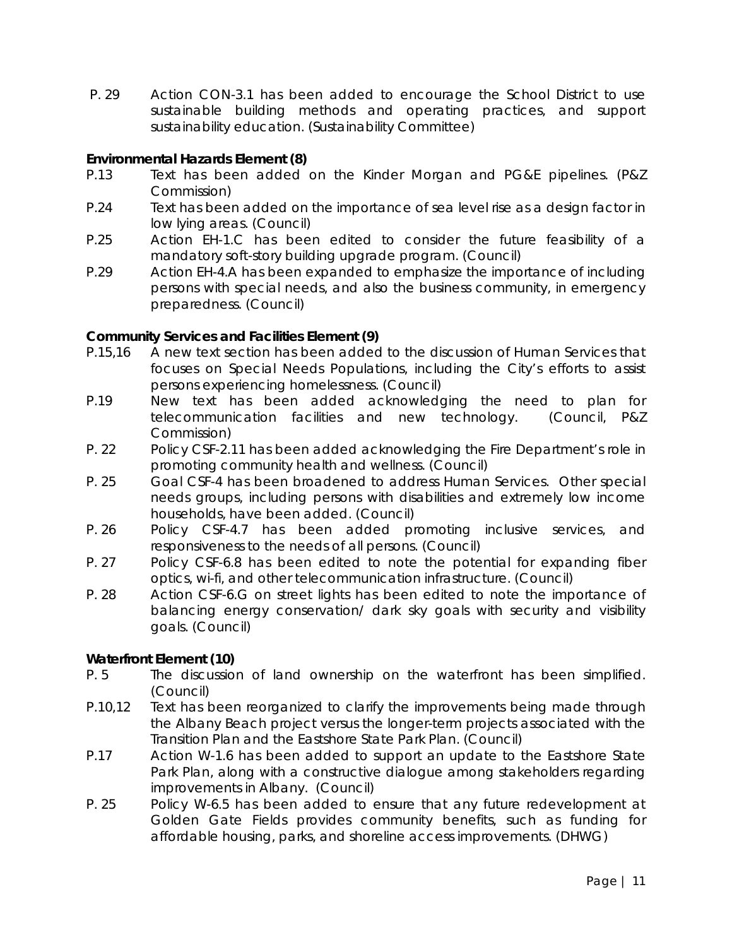P. 29 Action CON-3.1 has been added to encourage the School District to use sustainable building methods and operating practices, and support sustainability education. (Sustainability Committee)

## **Environmental Hazards Element (8)**

- P.13 Text has been added on the Kinder Morgan and PG&E pipelines. (P&Z Commission)
- P.24 Text has been added on the importance of sea level rise as a design factor in low lying areas. (Council)
- P.25 Action EH-1.C has been edited to consider the future feasibility of a mandatory soft-story building upgrade program. (Council)
- P.29 Action EH-4.A has been expanded to emphasize the importance of including persons with special needs, and also the business community, in emergency preparedness. (Council)

# **Community Services and Facilities Element (9)**

- P.15,16 A new text section has been added to the discussion of Human Services that focuses on Special Needs Populations, including the City's efforts to assist persons experiencing homelessness. (Council)
- P.19 New text has been added acknowledging the need to plan for telecommunication facilities and new technology. (Council, P&Z Commission)
- P. 22 Policy CSF-2.11 has been added acknowledging the Fire Department's role in promoting community health and wellness. (Council)
- P. 25 Goal CSF-4 has been broadened to address Human Services. Other special needs groups, including persons with disabilities and extremely low income households, have been added. (Council)
- P. 26 Policy CSF-4.7 has been added promoting inclusive services, and responsiveness to the needs of all persons. (Council)
- P. 27 Policy CSF-6.8 has been edited to note the potential for expanding fiber optics, wi-fi, and other telecommunication infrastructure. (Council)
- P. 28 Action CSF-6.G on street lights has been edited to note the importance of balancing energy conservation/ dark sky goals with security and visibility goals. (Council)

### **Waterfront Element (10)**

- P. 5 The discussion of land ownership on the waterfront has been simplified. (Council)
- P.10,12 Text has been reorganized to clarify the improvements being made through the Albany Beach project versus the longer-term projects associated with the Transition Plan and the Eastshore State Park Plan. (Council)
- P.17 Action W-1.6 has been added to support an update to the Eastshore State Park Plan, along with a constructive dialogue among stakeholders regarding improvements in Albany. (Council)
- P. 25 Policy W-6.5 has been added to ensure that any future redevelopment at Golden Gate Fields provides community benefits, such as funding for affordable housing, parks, and shoreline access improvements. (DHWG)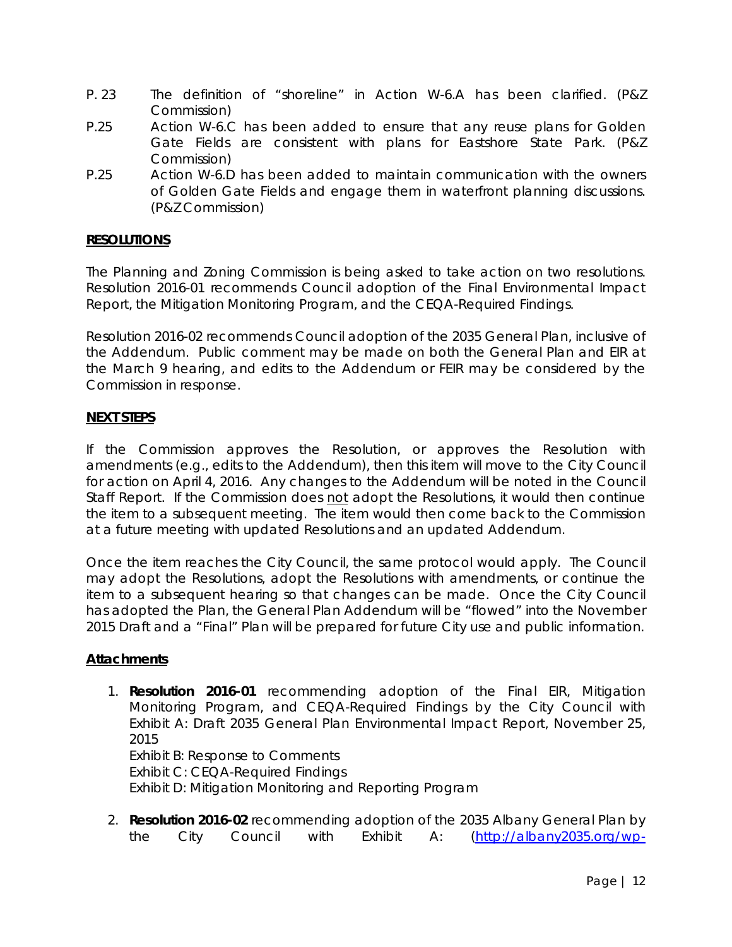- P. 23 The definition of "shoreline" in Action W-6.A has been clarified. (P&Z Commission)
- P.25 Action W-6.C has been added to ensure that any reuse plans for Golden Gate Fields are consistent with plans for Eastshore State Park. (P&Z Commission)
- P.25 Action W-6.D has been added to maintain communication with the owners of Golden Gate Fields and engage them in waterfront planning discussions. (P&Z Commission)

# **RESOLUTIONS**

The Planning and Zoning Commission is being asked to take action on two resolutions. Resolution 2016-01 recommends Council adoption of the Final Environmental Impact Report, the Mitigation Monitoring Program, and the CEQA-Required Findings.

Resolution 2016-02 recommends Council adoption of the 2035 General Plan, inclusive of the Addendum. Public comment may be made on both the General Plan and EIR at the March 9 hearing, and edits to the Addendum or FEIR may be considered by the Commission in response.

# **NEXT STEPS**

If the Commission approves the Resolution, or approves the Resolution with amendments (e.g., edits to the Addendum), then this item will move to the City Council for action on April 4, 2016. Any changes to the Addendum will be noted in the Council Staff Report. If the Commission does not adopt the Resolutions, it would then continue the item to a subsequent meeting. The item would then come back to the Commission at a future meeting with updated Resolutions and an updated Addendum.

Once the item reaches the City Council, the same protocol would apply. The Council may adopt the Resolutions, adopt the Resolutions with amendments, or continue the item to a subsequent hearing so that changes can be made. Once the City Council has adopted the Plan, the General Plan Addendum will be "flowed" into the November 2015 Draft and a "Final" Plan will be prepared for future City use and public information.

### **Attachments**

1. **Resolution 2016-01** recommending adoption of the Final EIR, Mitigation Monitoring Program, and CEQA-Required Findings by the City Council with Exhibit A: Draft 2035 General Plan Environmental Impact Report, November 25, 2015 Exhibit B: Response to Comments

Exhibit C: CEQA-Required Findings Exhibit D: Mitigation Monitoring and Reporting Program

2. **Resolution 2016-02** recommending adoption of the 2035 Albany General Plan by the City Council with Exhibit A: (http://albany2035.org/wp